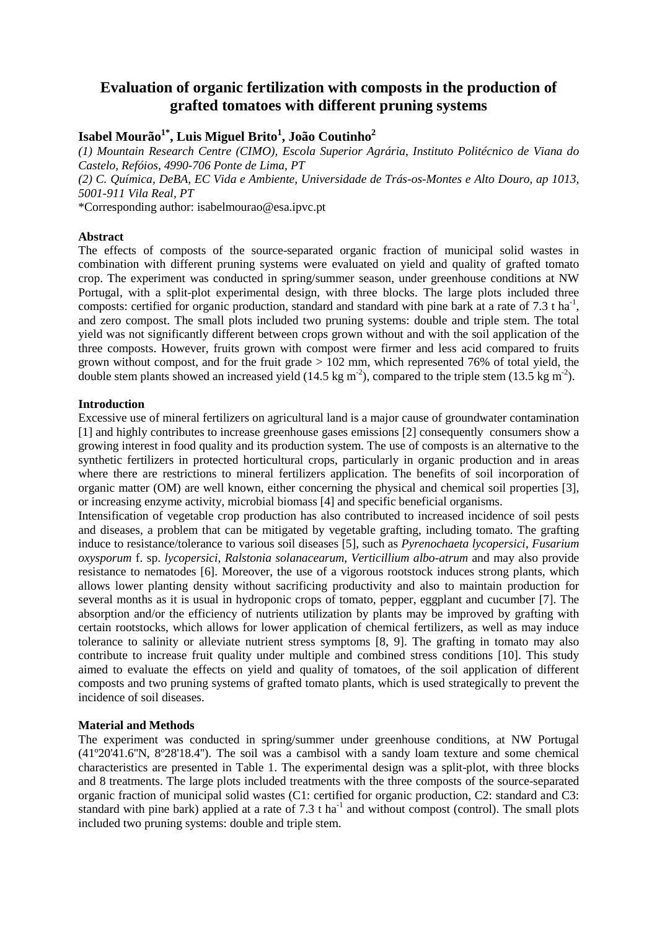# **Evaluation of organic fertilization with composts in the production of grafted tomatoes with different pruning systems**

## **Isabel Mourão1\*, Luis Miguel Brito<sup>1</sup> , João Coutinho<sup>2</sup>**

*(1) Mountain Research Centre (CIMO), Escola Superior Agrária, Instituto Politécnico de Viana do Castelo, Refóios, 4990-706 Ponte de Lima, PT* 

*(2) C. Química, DeBA, EC Vida e Ambiente, Universidade de Trás-os-Montes e Alto Douro, ap 1013, 5001-911 Vila Real, PT* 

\*Corresponding author: isabelmourao@esa.ipvc.pt

### **Abstract**

The effects of composts of the source-separated organic fraction of municipal solid wastes in combination with different pruning systems were evaluated on yield and quality of grafted tomato crop. The experiment was conducted in spring/summer season, under greenhouse conditions at NW Portugal, with a split-plot experimental design, with three blocks. The large plots included three composts: certified for organic production, standard and standard with pine bark at a rate of 7.3 t ha<sup>-1</sup>, and zero compost. The small plots included two pruning systems: double and triple stem. The total yield was not significantly different between crops grown without and with the soil application of the three composts. However, fruits grown with compost were firmer and less acid compared to fruits grown without compost, and for the fruit grade  $> 102$  mm, which represented 76% of total yield, the double stem plants showed an increased yield (14.5 kg m<sup>-2</sup>), compared to the triple stem (13.5 kg m<sup>-2</sup>).

### **Introduction**

Excessive use of mineral fertilizers on agricultural land is a major cause of groundwater contamination [1] and highly contributes to increase greenhouse gases emissions [2] consequently consumers show a growing interest in food quality and its production system. The use of composts is an alternative to the synthetic fertilizers in protected horticultural crops, particularly in organic production and in areas where there are restrictions to mineral fertilizers application. The benefits of soil incorporation of organic matter (OM) are well known, either concerning the physical and chemical soil properties [3], or increasing enzyme activity, microbial biomass [4] and specific beneficial organisms.

Intensification of vegetable crop production has also contributed to increased incidence of soil pests and diseases, a problem that can be mitigated by vegetable grafting, including tomato. The grafting induce to resistance/tolerance to various soil diseases [5], such as *Pyrenochaeta lycopersici*, *Fusarium oxysporum* f. sp. *lycopersici*, *Ralstonia solanacearum*, *Verticillium albo-atrum* and may also provide resistance to nematodes [6]. Moreover, the use of a vigorous rootstock induces strong plants, which allows lower planting density without sacrificing productivity and also to maintain production for several months as it is usual in hydroponic crops of tomato, pepper, eggplant and cucumber [7]. The absorption and/or the efficiency of nutrients utilization by plants may be improved by grafting with certain rootstocks, which allows for lower application of chemical fertilizers, as well as may induce tolerance to salinity or alleviate nutrient stress symptoms [8, 9]. The grafting in tomato may also contribute to increase fruit quality under multiple and combined stress conditions [10]. This study aimed to evaluate the effects on yield and quality of tomatoes, of the soil application of different composts and two pruning systems of grafted tomato plants, which is used strategically to prevent the incidence of soil diseases.

#### **Material and Methods**

The experiment was conducted in spring/summer under greenhouse conditions, at NW Portugal (41º20'41.6''N, 8º28'18.4''). The soil was a cambisol with a sandy loam texture and some chemical characteristics are presented in Table 1. The experimental design was a split-plot, with three blocks and 8 treatments. The large plots included treatments with the three composts of the source-separated organic fraction of municipal solid wastes (C1: certified for organic production, C2: standard and C3: standard with pine bark) applied at a rate of  $7.3$  t ha<sup>-1</sup> and without compost (control). The small plots included two pruning systems: double and triple stem.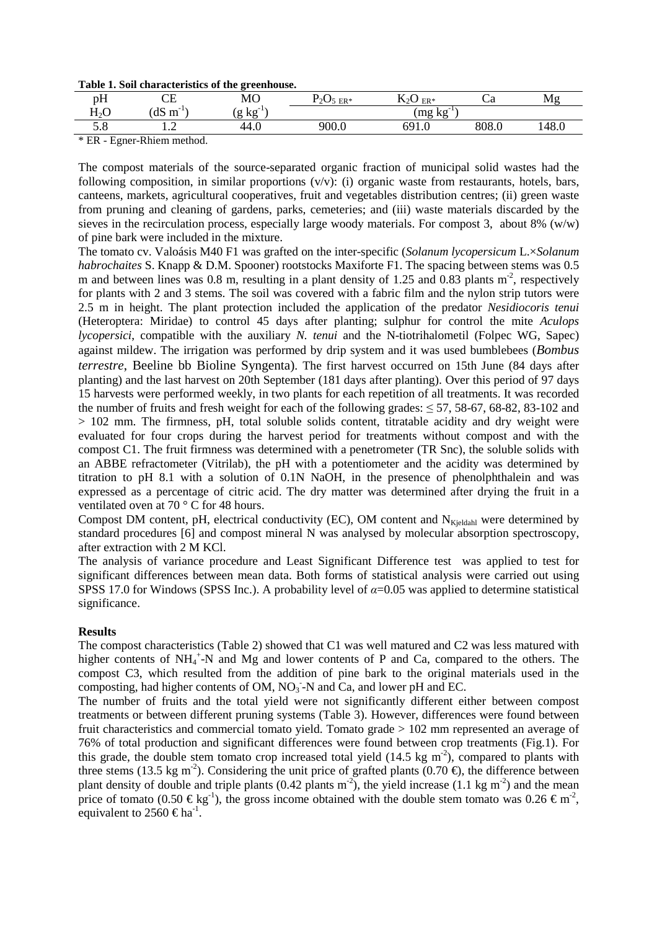|  |  | Table 1. Soil characteristics of the greenhouse. |  |  |  |
|--|--|--------------------------------------------------|--|--|--|
|--|--|--------------------------------------------------|--|--|--|

|                                         |                         | ີ               |                   |                             |              |       |
|-----------------------------------------|-------------------------|-----------------|-------------------|-----------------------------|--------------|-------|
| рH                                      | CЕ                      | <b>MO</b>       | 705<br>$ER*$      | T.<br>$ER*$<br>$\mathbf{v}$ | ~u           | Mg    |
| $\mathbf{H}$ $\Omega$<br>$\mathbf{n}_2$ | dS<br>$-1$<br>m         | $-1$<br>kg<br>g |                   | $(mg kg^{-1})$              |              |       |
| ິ∙∙                                     | $\overline{1}$          | 44.U            | 900. <sub>U</sub> | 691.0<br>$60^{\circ}$       | 909<br>ouo.u | 148.0 |
| $\mathbf{r}$ and $\mathbf{r}$           | $\sim$ $\sim$<br>$\sim$ |                 |                   |                             |              |       |

\* ER - Egner-Rhiem method.

The compost materials of the source-separated organic fraction of municipal solid wastes had the following composition, in similar proportions (v/v): (i) organic waste from restaurants, hotels, bars, canteens, markets, agricultural cooperatives, fruit and vegetables distribution centres; (ii) green waste from pruning and cleaning of gardens, parks, cemeteries; and (iii) waste materials discarded by the sieves in the recirculation process, especially large woody materials. For compost 3, about 8% (w/w) of pine bark were included in the mixture.

The tomato cv. Valoásis M40 F1 was grafted on the inter-specific (*Solanum lycopersicum* L.×*Solanum habrochaites* S. Knapp & D.M. Spooner) rootstocks Maxiforte F1. The spacing between stems was 0.5 m and between lines was 0.8 m, resulting in a plant density of 1.25 and 0.83 plants  $m<sup>2</sup>$ , respectively for plants with 2 and 3 stems. The soil was covered with a fabric film and the nylon strip tutors were 2.5 m in height. The plant protection included the application of the predator *Nesidiocoris tenui* (Heteroptera: Miridae) to control 45 days after planting; sulphur for control the mite *Aculops lycopersici*, compatible with the auxiliary *N. tenui* and the N-tiotrihalometil (Folpec WG, Sapec) against mildew. The irrigation was performed by drip system and it was used bumblebees (*Bombus terrestre*, Beeline bb Bioline Syngenta). The first harvest occurred on 15th June (84 days after planting) and the last harvest on 20th September (181 days after planting). Over this period of 97 days 15 harvests were performed weekly, in two plants for each repetition of all treatments. It was recorded the number of fruits and fresh weight for each of the following grades: ≤ 57, 58-67, 68-82, 83-102 and > 102 mm. The firmness, pH, total soluble solids content, titratable acidity and dry weight were evaluated for four crops during the harvest period for treatments without compost and with the compost C1. The fruit firmness was determined with a penetrometer (TR Snc), the soluble solids with an ABBE refractometer (Vitrilab), the pH with a potentiometer and the acidity was determined by titration to pH 8.1 with a solution of 0.1N NaOH, in the presence of phenolphthalein and was expressed as a percentage of citric acid. The dry matter was determined after drying the fruit in a ventilated oven at 70 ° C for 48 hours.

Compost DM content, pH, electrical conductivity (EC), OM content and  $N_{\text{Kieldahl}}$  were determined by standard procedures [6] and compost mineral N was analysed by molecular absorption spectroscopy, after extraction with 2 M KCl.

The analysis of variance procedure and Least Significant Difference test was applied to test for significant differences between mean data. Both forms of statistical analysis were carried out using SPSS 17.0 for Windows (SPSS Inc.). A probability level of *α*=0.05 was applied to determine statistical significance.

#### **Results**

The compost characteristics (Table 2) showed that C1 was well matured and C2 was less matured with higher contents of NH<sub>4</sub><sup>+</sup>-N and Mg and lower contents of P and Ca, compared to the others. The compost C3, which resulted from the addition of pine bark to the original materials used in the composting, had higher contents of OM,  $NO<sub>3</sub>$ -N and Ca, and lower pH and EC.

The number of fruits and the total yield were not significantly different either between compost treatments or between different pruning systems (Table 3). However, differences were found between fruit characteristics and commercial tomato yield. Tomato grade > 102 mm represented an average of 76% of total production and significant differences were found between crop treatments (Fig.1). For this grade, the double stem tomato crop increased total yield  $(14.5 \text{ kg m}^2)$ , compared to plants with three stems (13.5 kg m<sup>-2</sup>). Considering the unit price of grafted plants (0.70  $\epsilon$ ), the difference between plant density of double and triple plants (0.42 plants  $m<sup>2</sup>$ ), the yield increase (1.1 kg m<sup>-2</sup>) and the mean price of tomato (0.50  $\in$  kg<sup>1</sup>), the gross income obtained with the double stem tomato was 0.26  $\in$  m<sup>2</sup>, equivalent to 2560  $\in$  ha<sup>1</sup>.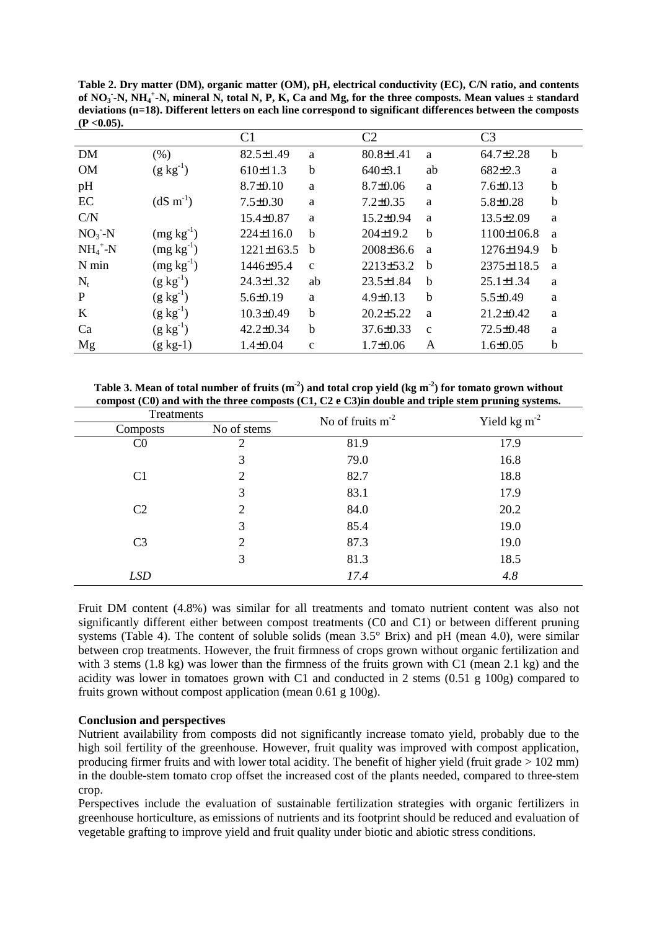**Table 2. Dry matter (DM), organic matter (OM), pH, electrical conductivity (EC), C/N ratio, and contents of NO<sup>3</sup> - -N, NH<sup>4</sup> + -N, mineral N, total N, P, K, Ca and Mg, for the three composts. Mean values ± standard deviations (n=18). Different letters on each line correspond to significant differences between the composts**   $(P < 0.05)$ .

|             |                  | C1               |              | C2              |              | C <sub>3</sub>  |             |
|-------------|------------------|------------------|--------------|-----------------|--------------|-----------------|-------------|
| <b>DM</b>   | $(\% )$          | 82.5±1.49        | a            | $80.8 \pm 1.41$ | a            | 64.7±2.28       | $\mathbf b$ |
| <b>OM</b>   | $(g kg^{-1})$    | 610±11.3         | b            | 640±3.1         | ab           | $682 \pm 2.3$   | a           |
| pH          |                  | $8.7 \pm 0.10$   | a            | $8.7 \pm 0.06$  | a            | $7.6 \pm 0.13$  | $\mathbf b$ |
| EC          | $(dS \, m^{-1})$ | $7.5 \pm 0.30$   | a            | $7.2 \pm 0.35$  | a            | $5.8 \pm 0.28$  | $\mathbf b$ |
| C/N         |                  | 15.4±0.87        | a            | 15.2±0.94       | a            | $13.5 \pm 2.09$ | a           |
| $NO3-N$     | $(mg kg^{-1})$   | 224±116.0        | b            | 204±19.2        | b            | 1100±106.8      | a           |
| $NH_4^+$ -N | $(mg kg^{-1})$   | $1221 \pm 163.5$ | b            | 2008±36.6       | a            | 1276±194.9      | $\mathbf b$ |
| N min       | $(mg kg^{-1})$   | 1446±95.4        | $\mathbf{c}$ | 2213±53.2       | b            | 2375±118.5      | a           |
| $N_{t}$     | $(g kg^{-1})$    | 24.3±1.32        | ab           | $23.5 \pm 1.84$ | b            | $25.1 \pm 1.34$ | a           |
| P           | $(g kg^{-1})$    | $5.6 \pm 0.19$   | a            | $4.9 \pm 0.13$  | b            | $5.5 \pm 0.49$  | a           |
| K           | $(g kg^{-1})$    | $10.3 \pm 0.49$  | b            | $20.2 \pm 5.22$ | a            | $21.2 \pm 0.42$ | a           |
| Ca          | $(g kg^{-1})$    | $42.2 \pm 0.34$  | b            | $37.6 \pm 0.33$ | $\mathbf{C}$ | 72.5±0.48       | a           |
| Mg          | $(g kg-1)$       | $1.4 \pm 0.04$   | $\mathbf c$  | $1.7 \pm 0.06$  | A            | $1.6 \pm 0.05$  | $\mathbf b$ |

**Table 3. Mean of total number of fruits (m-2) and total crop yield (kg m-2) for tomato grown without compost (C0) and with the three composts (C1, C2 e C3)in double and triple stem pruning systems.** 

| Treatments     |                | No of fruits $m-2$ | Yield kg $m^{-2}$ |  |  |
|----------------|----------------|--------------------|-------------------|--|--|
| Composts       | No of stems    |                    |                   |  |  |
| $_{\rm C0}$    | 2              | 81.9               | 17.9              |  |  |
|                | 3              | 79.0               | 16.8              |  |  |
| C <sub>1</sub> | 2              | 82.7               | 18.8              |  |  |
|                | 3              | 83.1               | 17.9              |  |  |
| C <sub>2</sub> | $\overline{2}$ | 84.0               | 20.2              |  |  |
|                | 3              | 85.4               | 19.0              |  |  |
| C <sub>3</sub> | $\overline{2}$ | 87.3               | 19.0              |  |  |
|                | 3              | 81.3               | 18.5              |  |  |
| <b>LSD</b>     |                | 17.4               | 4.8               |  |  |

Fruit DM content (4.8%) was similar for all treatments and tomato nutrient content was also not significantly different either between compost treatments (C0 and C1) or between different pruning systems (Table 4). The content of soluble solids (mean 3.5° Brix) and pH (mean 4.0), were similar between crop treatments. However, the fruit firmness of crops grown without organic fertilization and with 3 stems (1.8 kg) was lower than the firmness of the fruits grown with C1 (mean 2.1 kg) and the acidity was lower in tomatoes grown with C1 and conducted in 2 stems (0.51 g 100g) compared to fruits grown without compost application (mean 0.61 g 100g).

## **Conclusion and perspectives**

Nutrient availability from composts did not significantly increase tomato yield, probably due to the high soil fertility of the greenhouse. However, fruit quality was improved with compost application, producing firmer fruits and with lower total acidity. The benefit of higher yield (fruit grade > 102 mm) in the double-stem tomato crop offset the increased cost of the plants needed, compared to three-stem crop.

Perspectives include the evaluation of sustainable fertilization strategies with organic fertilizers in greenhouse horticulture, as emissions of nutrients and its footprint should be reduced and evaluation of vegetable grafting to improve yield and fruit quality under biotic and abiotic stress conditions.